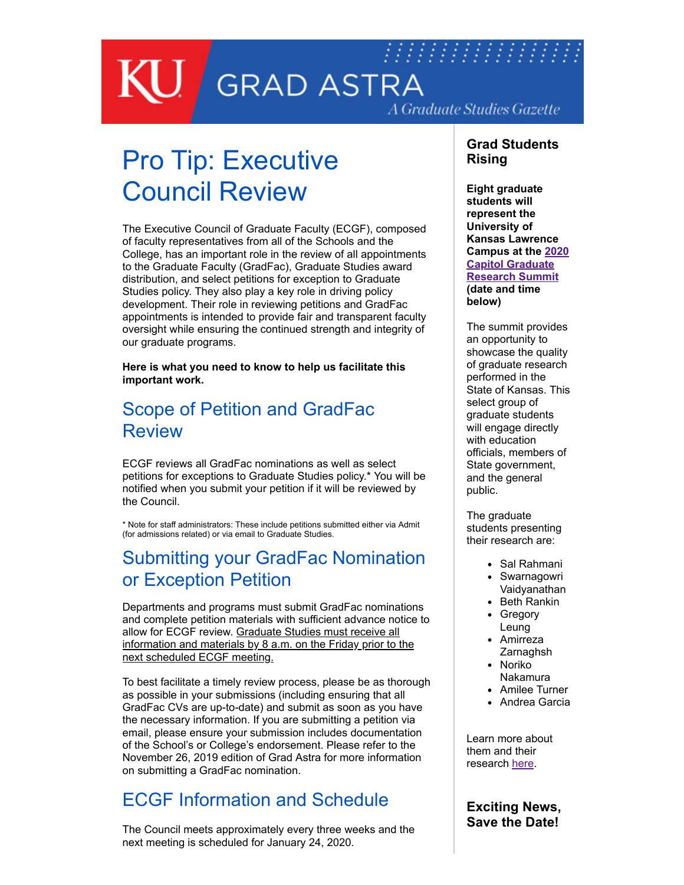## 77777777777777777  $\bigcup$  GRAD ASTRA A Graduate Studies Gazette

# Pro Tip: Executive Council Review

The Executive Council of Graduate Faculty (ECGF), composed of faculty representatives from all of the Schools and the College, has an important role in the review of all appointments to the Graduate Faculty (GradFac), Graduate Studies award distribution, and select petitions for exception to Graduate Studies policy. They also play a key role in driving policy development. Their role in reviewing petitions and GradFac appointments is intended to provide fair and transparent faculty oversight while ensuring the continued strength and integrity of our graduate programs.

**Here is what you need to know to help us facilitate this important work.**

#### Scope of Petition and GradFac Review

ECGF reviews all GradFac nominations as well as select petitions for exceptions to Graduate Studies policy.\* You will be notified when you submit your petition if it will be reviewed by the Council.

\* Note for staff administrators: These include petitions submitted either via Admit (for admissions related) or via email to Graduate Studies.

#### Submitting your GradFac Nomination or Exception Petition

Departments and programs must submit GradFac nominations and complete petition materials with sufficient advance notice to allow for ECGF review. Graduate Studies must receive all information and materials by 8 a.m. on the Friday prior to the next scheduled ECGF meeting.

To best facilitate a timely review process, please be as thorough as possible in your submissions (including ensuring that all GradFac CVs are up-to-date) and submit as soon as you have the necessary information. If you are submitting a petition via email, please ensure your submission includes documentation of the School's or College's endorsement. Please refer to the November 26, 2019 edition of Grad Astra for more information on submitting a GradFac nomination.

#### ECGF Information and Schedule

The Council meets approximately every three weeks and the next meeting is scheduled for January 24, 2020.

#### **Grad Students Rising**

**Eight graduate students will represent the University of Kansas Lawrence [Campus at the 2020](https://www.wichita.edu/academics/gradschool/cgrs/) Capitol Graduate Research Summit (date and time below)**

The summit provides an opportunity to showcase the quality of graduate research performed in the State of Kansas. This select group of graduate students will engage directly with education officials, members of State government, and the general public.

The graduate students presenting their research are:

- Sal Rahmani
- Swarnagowri Vaidyanathan
- Beth Rankin
- Gregory Leung
- Amirreza **Zarnaghsh** • Noriko
- Nakamura
- Amilee Turner
- Andrea Garcia

Learn more about them and their research [here](http://graduate.ku.edu/2020-cgrs-presenters).

#### **Exciting News, Save the Date!**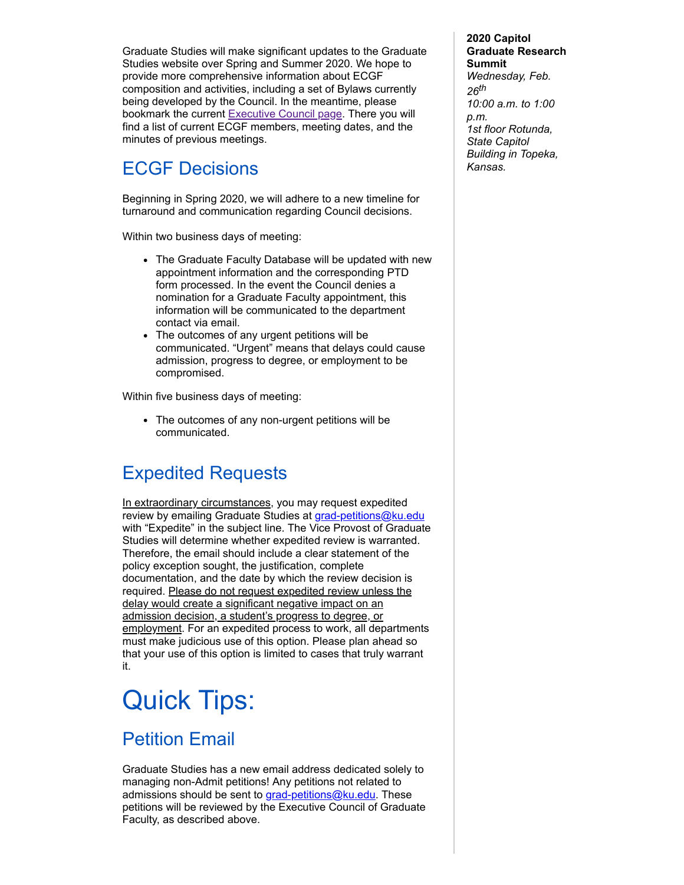Graduate Studies will make significant updates to the Graduate Studies website over Spring and Summer 2020. We hope to provide more comprehensive information about ECGF composition and activities, including a set of Bylaws currently being developed by the Council. In the meantime, please bookmark the current [Executive Council page.](http://graduate.ku.edu/executive-council-graduate-faculty) There you will find a list of current ECGF members, meeting dates, and the minutes of previous meetings.

### ECGF Decisions

Beginning in Spring 2020, we will adhere to a new timeline for turnaround and communication regarding Council decisions.

Within two business days of meeting:

- The Graduate Faculty Database will be updated with new appointment information and the corresponding PTD form processed. In the event the Council denies a nomination for a Graduate Faculty appointment, this information will be communicated to the department contact via email.
- The outcomes of any urgent petitions will be communicated. "Urgent" means that delays could cause admission, progress to degree, or employment to be compromised.

Within five business days of meeting:

The outcomes of any non-urgent petitions will be communicated.

### Expedited Requests

In extraordinary circumstances, you may request expedited review by emailing Graduate Studies at [grad-petitions@ku.edu](mailto:grad-petitions@ku.edu) with "Expedite" in the subject line. The Vice Provost of Graduate Studies will determine whether expedited review is warranted. Therefore, the email should include a clear statement of the policy exception sought, the justification, complete documentation, and the date by which the review decision is required. Please do not request expedited review unless the delay would create a significant negative impact on an admission decision, a student's progress to degree, or employment. For an expedited process to work, all departments must make judicious use of this option. Please plan ahead so that your use of this option is limited to cases that truly warrant it.

## Quick Tips:

#### Petition Email

Graduate Studies has a new email address dedicated solely to managing non-Admit petitions! Any petitions not related to admissions should be sent to [grad-petitions@ku.edu.](mailto:grad-petitions@ku.edu) These petitions will be reviewed by the Executive Council of Graduate Faculty, as described above.

**2020 Capitol Graduate Research Summit** *Wednesday, Feb. 26th 10:00 a.m. to 1:00 p.m. 1st floor Rotunda, State Capitol Building in Topeka, Kansas.*